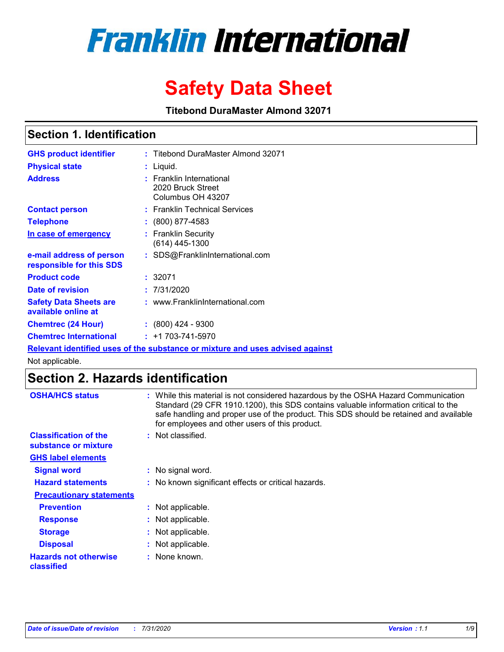# **Franklin International**

# **Safety Data Sheet**

**Titebond DuraMaster Almond 32071**

# **Section 1. Identification**

| <b>GHS product identifier</b>                        | : Titebond DuraMaster Almond 32071                                                   |
|------------------------------------------------------|--------------------------------------------------------------------------------------|
| <b>Physical state</b>                                | : Liquid.                                                                            |
| <b>Address</b>                                       | : Franklin International<br>2020 Bruck Street<br>Columbus OH 43207                   |
| <b>Contact person</b>                                | : Franklin Technical Services                                                        |
| <b>Telephone</b>                                     | : (800) 877-4583                                                                     |
| In case of emergency                                 | : Franklin Security<br>(614) 445-1300                                                |
| e-mail address of person<br>responsible for this SDS | : SDS@FranklinInternational.com                                                      |
| <b>Product code</b>                                  | : 32071                                                                              |
| Date of revision                                     | : 7/31/2020                                                                          |
| <b>Safety Data Sheets are</b><br>available online at | : www.FranklinInternational.com                                                      |
| <b>Chemtrec (24 Hour)</b>                            | $\colon$ (800) 424 - 9300                                                            |
| <b>Chemtrec International</b>                        | $: +1703 - 741 - 5970$                                                               |
|                                                      | <u>Relevant identified uses of the substance or mixture and uses advised against</u> |

Not applicable.

# **Section 2. Hazards identification**

| <b>OSHA/HCS status</b>                               | : While this material is not considered hazardous by the OSHA Hazard Communication<br>Standard (29 CFR 1910.1200), this SDS contains valuable information critical to the<br>safe handling and proper use of the product. This SDS should be retained and available<br>for employees and other users of this product. |
|------------------------------------------------------|-----------------------------------------------------------------------------------------------------------------------------------------------------------------------------------------------------------------------------------------------------------------------------------------------------------------------|
| <b>Classification of the</b><br>substance or mixture | : Not classified.                                                                                                                                                                                                                                                                                                     |
| <b>GHS label elements</b>                            |                                                                                                                                                                                                                                                                                                                       |
| <b>Signal word</b>                                   | : No signal word.                                                                                                                                                                                                                                                                                                     |
| <b>Hazard statements</b>                             | : No known significant effects or critical hazards.                                                                                                                                                                                                                                                                   |
| <b>Precautionary statements</b>                      |                                                                                                                                                                                                                                                                                                                       |
| <b>Prevention</b>                                    | : Not applicable.                                                                                                                                                                                                                                                                                                     |
| <b>Response</b>                                      | : Not applicable.                                                                                                                                                                                                                                                                                                     |
| <b>Storage</b>                                       | : Not applicable.                                                                                                                                                                                                                                                                                                     |
| <b>Disposal</b>                                      | : Not applicable.                                                                                                                                                                                                                                                                                                     |
| <b>Hazards not otherwise</b><br>classified           | : None known.                                                                                                                                                                                                                                                                                                         |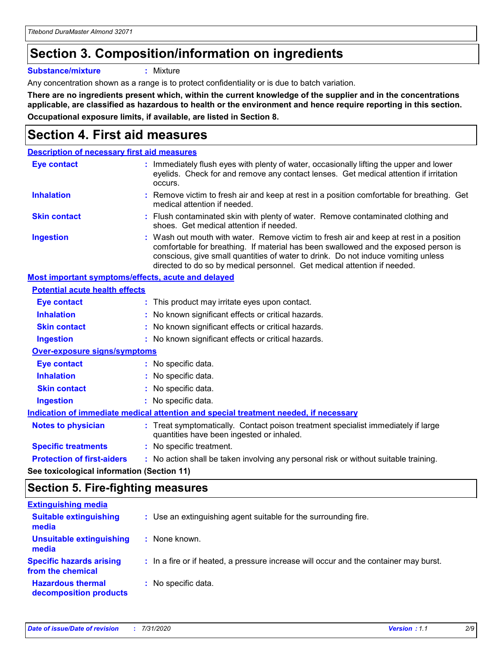# **Section 3. Composition/information on ingredients**

**Substance/mixture :** Mixture

Any concentration shown as a range is to protect confidentiality or is due to batch variation.

**There are no ingredients present which, within the current knowledge of the supplier and in the concentrations applicable, are classified as hazardous to health or the environment and hence require reporting in this section. Occupational exposure limits, if available, are listed in Section 8.**

# **Section 4. First aid measures**

| <b>Description of necessary first aid measures</b>                                   |  |                                                                                                                                                                                                                                                                                                                                                |
|--------------------------------------------------------------------------------------|--|------------------------------------------------------------------------------------------------------------------------------------------------------------------------------------------------------------------------------------------------------------------------------------------------------------------------------------------------|
| <b>Eye contact</b>                                                                   |  | : Immediately flush eyes with plenty of water, occasionally lifting the upper and lower<br>eyelids. Check for and remove any contact lenses. Get medical attention if irritation<br>occurs.                                                                                                                                                    |
| <b>Inhalation</b>                                                                    |  | : Remove victim to fresh air and keep at rest in a position comfortable for breathing. Get<br>medical attention if needed.                                                                                                                                                                                                                     |
| <b>Skin contact</b>                                                                  |  | : Flush contaminated skin with plenty of water. Remove contaminated clothing and<br>shoes. Get medical attention if needed.                                                                                                                                                                                                                    |
| <b>Ingestion</b>                                                                     |  | : Wash out mouth with water. Remove victim to fresh air and keep at rest in a position<br>comfortable for breathing. If material has been swallowed and the exposed person is<br>conscious, give small quantities of water to drink. Do not induce vomiting unless<br>directed to do so by medical personnel. Get medical attention if needed. |
| Most important symptoms/effects, acute and delayed                                   |  |                                                                                                                                                                                                                                                                                                                                                |
| <b>Potential acute health effects</b>                                                |  |                                                                                                                                                                                                                                                                                                                                                |
| <b>Eye contact</b>                                                                   |  | : This product may irritate eyes upon contact.                                                                                                                                                                                                                                                                                                 |
| <b>Inhalation</b>                                                                    |  | : No known significant effects or critical hazards.                                                                                                                                                                                                                                                                                            |
| <b>Skin contact</b>                                                                  |  | : No known significant effects or critical hazards.                                                                                                                                                                                                                                                                                            |
| <b>Ingestion</b>                                                                     |  | : No known significant effects or critical hazards.                                                                                                                                                                                                                                                                                            |
| <b>Over-exposure signs/symptoms</b>                                                  |  |                                                                                                                                                                                                                                                                                                                                                |
| <b>Eye contact</b>                                                                   |  | : No specific data.                                                                                                                                                                                                                                                                                                                            |
| <b>Inhalation</b>                                                                    |  | : No specific data.                                                                                                                                                                                                                                                                                                                            |
| <b>Skin contact</b>                                                                  |  | : No specific data.                                                                                                                                                                                                                                                                                                                            |
| <b>Ingestion</b>                                                                     |  | : No specific data.                                                                                                                                                                                                                                                                                                                            |
| Indication of immediate medical attention and special treatment needed, if necessary |  |                                                                                                                                                                                                                                                                                                                                                |
| <b>Notes to physician</b>                                                            |  | : Treat symptomatically. Contact poison treatment specialist immediately if large<br>quantities have been ingested or inhaled.                                                                                                                                                                                                                 |
| <b>Specific treatments</b>                                                           |  | : No specific treatment.                                                                                                                                                                                                                                                                                                                       |
| <b>Protection of first-aiders</b>                                                    |  | : No action shall be taken involving any personal risk or without suitable training.                                                                                                                                                                                                                                                           |
|                                                                                      |  |                                                                                                                                                                                                                                                                                                                                                |

**See toxicological information (Section 11)**

# **Section 5. Fire-fighting measures**

| <b>Extinguishing media</b>                           |                                                                                       |
|------------------------------------------------------|---------------------------------------------------------------------------------------|
| <b>Suitable extinguishing</b><br>media               | : Use an extinguishing agent suitable for the surrounding fire.                       |
| Unsuitable extinguishing<br>media                    | : None known.                                                                         |
| <b>Specific hazards arising</b><br>from the chemical | : In a fire or if heated, a pressure increase will occur and the container may burst. |
| <b>Hazardous thermal</b><br>decomposition products   | : No specific data.                                                                   |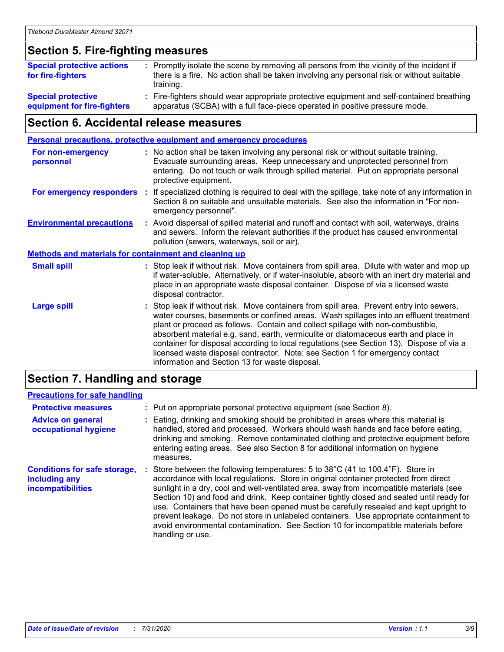### **Section 5. Fire-fighting measures**

| <b>Special protective actions</b><br>for fire-fighters | : Promptly isolate the scene by removing all persons from the vicinity of the incident if<br>there is a fire. No action shall be taken involving any personal risk or without suitable<br>training. |
|--------------------------------------------------------|-----------------------------------------------------------------------------------------------------------------------------------------------------------------------------------------------------|
| <b>Special protective</b>                              | Fire-fighters should wear appropriate protective equipment and self-contained breathing                                                                                                             |
| equipment for fire-fighters                            | apparatus (SCBA) with a full face-piece operated in positive pressure mode.                                                                                                                         |

# **Section 6. Accidental release measures**

| <b>Personal precautions, protective equipment and emergency procedures</b> |  |                                                                                                                                                                                                                                                                                                                                                                                                                                                                                                                                                                                            |
|----------------------------------------------------------------------------|--|--------------------------------------------------------------------------------------------------------------------------------------------------------------------------------------------------------------------------------------------------------------------------------------------------------------------------------------------------------------------------------------------------------------------------------------------------------------------------------------------------------------------------------------------------------------------------------------------|
| For non-emergency<br>personnel                                             |  | : No action shall be taken involving any personal risk or without suitable training.<br>Evacuate surrounding areas. Keep unnecessary and unprotected personnel from<br>entering. Do not touch or walk through spilled material. Put on appropriate personal<br>protective equipment.                                                                                                                                                                                                                                                                                                       |
| For emergency responders                                                   |  | : If specialized clothing is required to deal with the spillage, take note of any information in<br>Section 8 on suitable and unsuitable materials. See also the information in "For non-<br>emergency personnel".                                                                                                                                                                                                                                                                                                                                                                         |
| <b>Environmental precautions</b>                                           |  | : Avoid dispersal of spilled material and runoff and contact with soil, waterways, drains<br>and sewers. Inform the relevant authorities if the product has caused environmental<br>pollution (sewers, waterways, soil or air).                                                                                                                                                                                                                                                                                                                                                            |
| <b>Methods and materials for containment and cleaning up</b>               |  |                                                                                                                                                                                                                                                                                                                                                                                                                                                                                                                                                                                            |
| <b>Small spill</b>                                                         |  | : Stop leak if without risk. Move containers from spill area. Dilute with water and mop up<br>if water-soluble. Alternatively, or if water-insoluble, absorb with an inert dry material and<br>place in an appropriate waste disposal container. Dispose of via a licensed waste<br>disposal contractor.                                                                                                                                                                                                                                                                                   |
| <b>Large spill</b>                                                         |  | : Stop leak if without risk. Move containers from spill area. Prevent entry into sewers,<br>water courses, basements or confined areas. Wash spillages into an effluent treatment<br>plant or proceed as follows. Contain and collect spillage with non-combustible,<br>absorbent material e.g. sand, earth, vermiculite or diatomaceous earth and place in<br>container for disposal according to local regulations (see Section 13). Dispose of via a<br>licensed waste disposal contractor. Note: see Section 1 for emergency contact<br>information and Section 13 for waste disposal. |
|                                                                            |  |                                                                                                                                                                                                                                                                                                                                                                                                                                                                                                                                                                                            |

### **Section 7. Handling and storage**

#### **Precautions for safe handling**

| <b>Protective measures</b>                                                | : Put on appropriate personal protective equipment (see Section 8).                                                                                                                                                                                                                                                                                                                                                                                                                                                                                                                                                                                      |
|---------------------------------------------------------------------------|----------------------------------------------------------------------------------------------------------------------------------------------------------------------------------------------------------------------------------------------------------------------------------------------------------------------------------------------------------------------------------------------------------------------------------------------------------------------------------------------------------------------------------------------------------------------------------------------------------------------------------------------------------|
| <b>Advice on general</b><br>occupational hygiene                          | : Eating, drinking and smoking should be prohibited in areas where this material is<br>handled, stored and processed. Workers should wash hands and face before eating,<br>drinking and smoking. Remove contaminated clothing and protective equipment before<br>entering eating areas. See also Section 8 for additional information on hygiene<br>measures.                                                                                                                                                                                                                                                                                            |
| <b>Conditions for safe storage,</b><br>including any<br>incompatibilities | Store between the following temperatures: 5 to 38°C (41 to 100.4°F). Store in<br>accordance with local regulations. Store in original container protected from direct<br>sunlight in a dry, cool and well-ventilated area, away from incompatible materials (see<br>Section 10) and food and drink. Keep container tightly closed and sealed until ready for<br>use. Containers that have been opened must be carefully resealed and kept upright to<br>prevent leakage. Do not store in unlabeled containers. Use appropriate containment to<br>avoid environmental contamination. See Section 10 for incompatible materials before<br>handling or use. |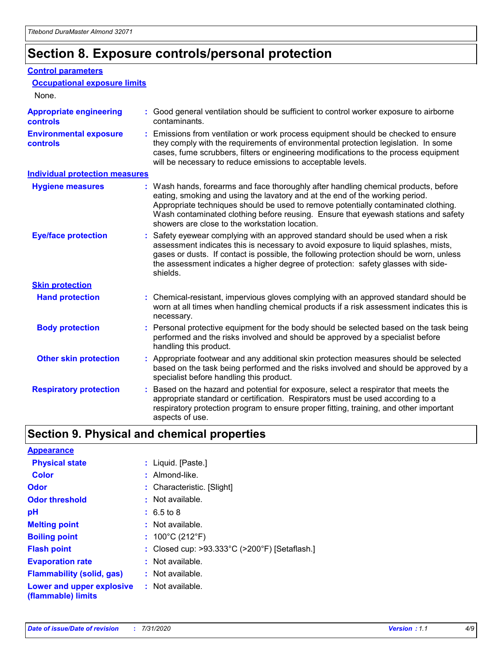# **Section 8. Exposure controls/personal protection**

#### **Control parameters**

| <b>Occupational exposure limits</b>               |                                                                                                                                                                                                                                                                                                                                                                                                   |
|---------------------------------------------------|---------------------------------------------------------------------------------------------------------------------------------------------------------------------------------------------------------------------------------------------------------------------------------------------------------------------------------------------------------------------------------------------------|
| None.                                             |                                                                                                                                                                                                                                                                                                                                                                                                   |
| <b>Appropriate engineering</b><br><b>controls</b> | : Good general ventilation should be sufficient to control worker exposure to airborne<br>contaminants.                                                                                                                                                                                                                                                                                           |
| <b>Environmental exposure</b><br><b>controls</b>  | : Emissions from ventilation or work process equipment should be checked to ensure<br>they comply with the requirements of environmental protection legislation. In some<br>cases, fume scrubbers, filters or engineering modifications to the process equipment<br>will be necessary to reduce emissions to acceptable levels.                                                                   |
| <b>Individual protection measures</b>             |                                                                                                                                                                                                                                                                                                                                                                                                   |
| <b>Hygiene measures</b>                           | : Wash hands, forearms and face thoroughly after handling chemical products, before<br>eating, smoking and using the lavatory and at the end of the working period.<br>Appropriate techniques should be used to remove potentially contaminated clothing.<br>Wash contaminated clothing before reusing. Ensure that eyewash stations and safety<br>showers are close to the workstation location. |
| <b>Eye/face protection</b>                        | : Safety eyewear complying with an approved standard should be used when a risk<br>assessment indicates this is necessary to avoid exposure to liquid splashes, mists,<br>gases or dusts. If contact is possible, the following protection should be worn, unless<br>the assessment indicates a higher degree of protection: safety glasses with side-<br>shields.                                |
| <b>Skin protection</b>                            |                                                                                                                                                                                                                                                                                                                                                                                                   |
| <b>Hand protection</b>                            | : Chemical-resistant, impervious gloves complying with an approved standard should be<br>worn at all times when handling chemical products if a risk assessment indicates this is<br>necessary.                                                                                                                                                                                                   |
| <b>Body protection</b>                            | : Personal protective equipment for the body should be selected based on the task being<br>performed and the risks involved and should be approved by a specialist before<br>handling this product.                                                                                                                                                                                               |
| <b>Other skin protection</b>                      | : Appropriate footwear and any additional skin protection measures should be selected<br>based on the task being performed and the risks involved and should be approved by a<br>specialist before handling this product.                                                                                                                                                                         |
| <b>Respiratory protection</b>                     | Based on the hazard and potential for exposure, select a respirator that meets the<br>appropriate standard or certification. Respirators must be used according to a<br>respiratory protection program to ensure proper fitting, training, and other important<br>aspects of use.                                                                                                                 |

# **Section 9. Physical and chemical properties**

| <b>Appearance</b>                                                       |                                               |
|-------------------------------------------------------------------------|-----------------------------------------------|
| <b>Physical state</b>                                                   | : Liquid. [Paste.]                            |
| <b>Color</b>                                                            | $:$ Almond-like.                              |
| <b>Odor</b>                                                             | : Characteristic. [Slight]                    |
| <b>Odor threshold</b>                                                   | : Not available.                              |
| рH                                                                      | $: 6.5 \text{ to } 8$                         |
| <b>Melting point</b>                                                    | $:$ Not available.                            |
| <b>Boiling point</b>                                                    | : $100^{\circ}$ C (212 $^{\circ}$ F)          |
| <b>Flash point</b>                                                      | : Closed cup: >93.333°C (>200°F) [Setaflash.] |
| <b>Evaporation rate</b>                                                 | : Not available.                              |
| <b>Flammability (solid, gas)</b>                                        | : Not available.                              |
| <b>Lower and upper explosive : Not available.</b><br>(flammable) limits |                                               |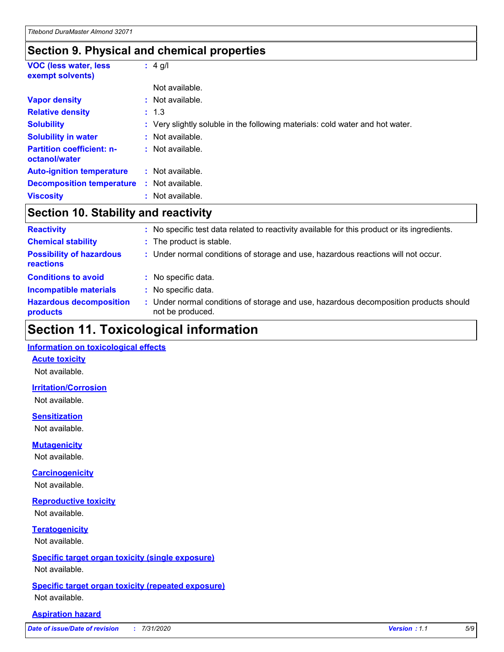### **Section 9. Physical and chemical properties**

| <b>VOC (less water, less)</b><br>exempt solvents) | $: 4$ g/l                                                                     |
|---------------------------------------------------|-------------------------------------------------------------------------------|
|                                                   | Not available.                                                                |
| <b>Vapor density</b>                              | : Not available.                                                              |
| <b>Relative density</b>                           | : 1.3                                                                         |
| <b>Solubility</b>                                 | : Very slightly soluble in the following materials: cold water and hot water. |
| <b>Solubility in water</b>                        | : Not available.                                                              |
| <b>Partition coefficient: n-</b><br>octanol/water | : Not available.                                                              |
| <b>Auto-ignition temperature</b>                  | : Not available.                                                              |
| <b>Decomposition temperature</b>                  | Not available.<br>÷.                                                          |
| <b>Viscosity</b>                                  | : Not available.                                                              |

# **Section 10. Stability and reactivity**

| <b>Reactivity</b>                            | : No specific test data related to reactivity available for this product or its ingredients.              |
|----------------------------------------------|-----------------------------------------------------------------------------------------------------------|
| <b>Chemical stability</b>                    | : The product is stable.                                                                                  |
| <b>Possibility of hazardous</b><br>reactions | : Under normal conditions of storage and use, hazardous reactions will not occur.                         |
| <b>Conditions to avoid</b>                   | : No specific data.                                                                                       |
| <b>Incompatible materials</b>                | : No specific data.                                                                                       |
| <b>Hazardous decomposition</b><br>products   | : Under normal conditions of storage and use, hazardous decomposition products should<br>not be produced. |

# **Section 11. Toxicological information**

#### **Information on toxicological effects**

#### **Acute toxicity**

Not available.

#### **Irritation/Corrosion**

Not available.

#### **Sensitization**

Not available.

#### **Mutagenicity**

Not available.

#### **Carcinogenicity**

Not available.

#### **Reproductive toxicity**

Not available.

### **Teratogenicity**

Not available.

#### **Specific target organ toxicity (single exposure)**

Not available.

#### **Specific target organ toxicity (repeated exposure)** Not available.

#### **Aspiration hazard**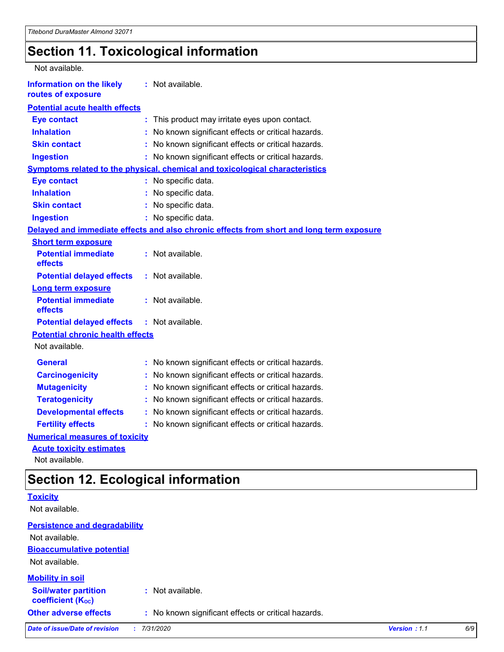# **Section 11. Toxicological information**

| Not available.                                         |                                                                                          |  |
|--------------------------------------------------------|------------------------------------------------------------------------------------------|--|
| <b>Information on the likely</b><br>routes of exposure | : Not available.                                                                         |  |
| <b>Potential acute health effects</b>                  |                                                                                          |  |
| <b>Eye contact</b>                                     | This product may irritate eyes upon contact.<br>÷.                                       |  |
| <b>Inhalation</b>                                      | No known significant effects or critical hazards.                                        |  |
| <b>Skin contact</b>                                    | No known significant effects or critical hazards.<br>t.                                  |  |
| <b>Ingestion</b>                                       | : No known significant effects or critical hazards.                                      |  |
|                                                        | <b>Symptoms related to the physical, chemical and toxicological characteristics</b>      |  |
| <b>Eye contact</b>                                     | : No specific data.                                                                      |  |
| <b>Inhalation</b>                                      | : No specific data.                                                                      |  |
| <b>Skin contact</b>                                    | : No specific data.                                                                      |  |
| <b>Ingestion</b>                                       | : No specific data.                                                                      |  |
|                                                        | Delayed and immediate effects and also chronic effects from short and long term exposure |  |
| <b>Short term exposure</b>                             |                                                                                          |  |
| <b>Potential immediate</b><br>effects                  | : Not available.                                                                         |  |
| <b>Potential delayed effects</b>                       | : Not available.                                                                         |  |
| <b>Long term exposure</b>                              |                                                                                          |  |
| <b>Potential immediate</b><br>effects                  | : Not available.                                                                         |  |
| <b>Potential delayed effects</b>                       | : Not available.                                                                         |  |
| <b>Potential chronic health effects</b>                |                                                                                          |  |
| Not available.                                         |                                                                                          |  |
| <b>General</b>                                         | : No known significant effects or critical hazards.                                      |  |
| <b>Carcinogenicity</b>                                 | No known significant effects or critical hazards.                                        |  |
| <b>Mutagenicity</b>                                    | No known significant effects or critical hazards.<br>t.                                  |  |
| <b>Teratogenicity</b>                                  | No known significant effects or critical hazards.                                        |  |
| <b>Developmental effects</b>                           | No known significant effects or critical hazards.                                        |  |
| <b>Fertility effects</b>                               | No known significant effects or critical hazards.                                        |  |
| <b>Numerical measures of toxicity</b>                  |                                                                                          |  |
| <b>Acute toxicity estimates</b>                        |                                                                                          |  |

Not available.

# **Section 12. Ecological information**

| <b>Toxicity</b>                                         |                                                     |              |     |
|---------------------------------------------------------|-----------------------------------------------------|--------------|-----|
| Not available.                                          |                                                     |              |     |
| <b>Persistence and degradability</b>                    |                                                     |              |     |
| Not available.                                          |                                                     |              |     |
| <b>Bioaccumulative potential</b>                        |                                                     |              |     |
| Not available.                                          |                                                     |              |     |
| <b>Mobility in soil</b>                                 |                                                     |              |     |
| <b>Soil/water partition</b><br><b>coefficient (Koc)</b> | : Not available.                                    |              |     |
| <b>Other adverse effects</b>                            | : No known significant effects or critical hazards. |              |     |
| <b>Date of issue/Date of revision</b>                   | 7/31/2020                                           | Version: 1.1 | 6/9 |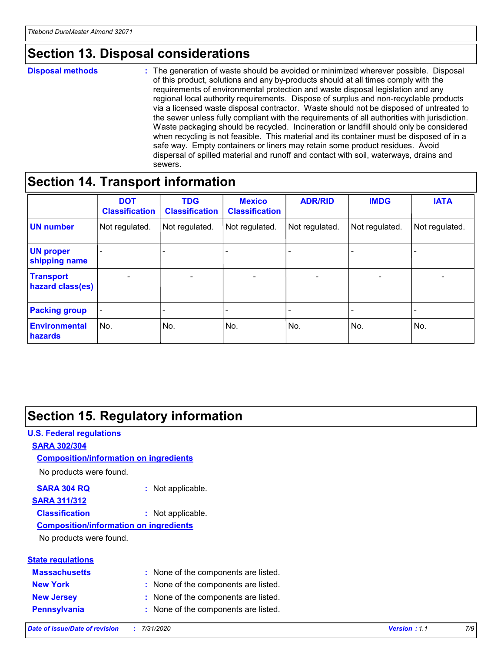# **Section 13. Disposal considerations**

#### **Disposal methods :**

The generation of waste should be avoided or minimized wherever possible. Disposal of this product, solutions and any by-products should at all times comply with the requirements of environmental protection and waste disposal legislation and any regional local authority requirements. Dispose of surplus and non-recyclable products via a licensed waste disposal contractor. Waste should not be disposed of untreated to the sewer unless fully compliant with the requirements of all authorities with jurisdiction. Waste packaging should be recycled. Incineration or landfill should only be considered when recycling is not feasible. This material and its container must be disposed of in a safe way. Empty containers or liners may retain some product residues. Avoid dispersal of spilled material and runoff and contact with soil, waterways, drains and sewers.

# **Section 14. Transport information**

|                                      | <b>DOT</b><br><b>Classification</b> | <b>TDG</b><br><b>Classification</b> | <b>Mexico</b><br><b>Classification</b> | <b>ADR/RID</b>           | <b>IMDG</b>              | <b>IATA</b>              |
|--------------------------------------|-------------------------------------|-------------------------------------|----------------------------------------|--------------------------|--------------------------|--------------------------|
| <b>UN number</b>                     | Not regulated.                      | Not regulated.                      | Not regulated.                         | Not regulated.           | Not regulated.           | Not regulated.           |
| <b>UN proper</b><br>shipping name    | $\qquad \qquad -$                   | $\qquad \qquad -$                   |                                        |                          |                          | $\overline{\phantom{0}}$ |
| <b>Transport</b><br>hazard class(es) | $\overline{\phantom{a}}$            | $\overline{\phantom{a}}$            | $\overline{\phantom{a}}$               | $\overline{\phantom{a}}$ | $\overline{\phantom{a}}$ | $\overline{\phantom{a}}$ |
| <b>Packing group</b>                 | $\overline{\phantom{a}}$            |                                     |                                        | -                        |                          | -                        |
| <b>Environmental</b><br>hazards      | No.                                 | No.                                 | No.                                    | No.                      | No.                      | No.                      |

# **Section 15. Regulatory information**

#### **U.S. Federal regulations SARA 302/304** No products were found. **Composition/information on ingredients**

#### **SARA 304 RQ :** Not applicable.

### **SARA 311/312**

**Classification :** Not applicable.

#### **Composition/information on ingredients**

No products were found.

| <b>State regulations</b> |     |
|--------------------------|-----|
| <b>Massachusetts</b>     | : N |
| <b>New York</b>          | : N |

- one of the components are listed.
- one of the components are listed.
- **New Jersey :** None of the components are listed.
- **Pennsylvania :** None of the components are listed.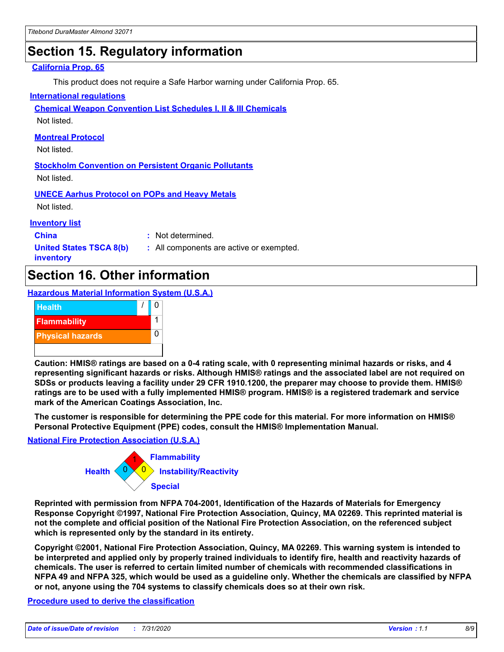# **Section 15. Regulatory information**

#### **California Prop. 65**

This product does not require a Safe Harbor warning under California Prop. 65.

#### **International regulations**

**Chemical Weapon Convention List Schedules I, II & III Chemicals**

Not listed.

#### **Montreal Protocol**

Not listed.

**Stockholm Convention on Persistent Organic Pollutants** Not listed.

**UNECE Aarhus Protocol on POPs and Heavy Metals**

Not listed.

#### **Inventory list**

**China :** Not determined.

**United States TSCA 8(b) inventory**

**:** All components are active or exempted.

# **Section 16. Other information**

**Hazardous Material Information System (U.S.A.)**



**Caution: HMIS® ratings are based on a 0-4 rating scale, with 0 representing minimal hazards or risks, and 4 representing significant hazards or risks. Although HMIS® ratings and the associated label are not required on SDSs or products leaving a facility under 29 CFR 1910.1200, the preparer may choose to provide them. HMIS® ratings are to be used with a fully implemented HMIS® program. HMIS® is a registered trademark and service mark of the American Coatings Association, Inc.**

**The customer is responsible for determining the PPE code for this material. For more information on HMIS® Personal Protective Equipment (PPE) codes, consult the HMIS® Implementation Manual.**

#### **National Fire Protection Association (U.S.A.)**



**Reprinted with permission from NFPA 704-2001, Identification of the Hazards of Materials for Emergency Response Copyright ©1997, National Fire Protection Association, Quincy, MA 02269. This reprinted material is not the complete and official position of the National Fire Protection Association, on the referenced subject which is represented only by the standard in its entirety.**

**Copyright ©2001, National Fire Protection Association, Quincy, MA 02269. This warning system is intended to be interpreted and applied only by properly trained individuals to identify fire, health and reactivity hazards of chemicals. The user is referred to certain limited number of chemicals with recommended classifications in NFPA 49 and NFPA 325, which would be used as a guideline only. Whether the chemicals are classified by NFPA or not, anyone using the 704 systems to classify chemicals does so at their own risk.**

#### **Procedure used to derive the classification**